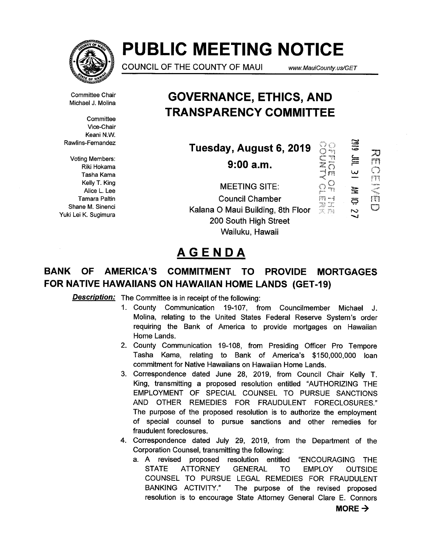

# PUBLIC MEETING NOTICE

COUNCIL OF THE COUNTY OF MAUI www. MauiCounty.us/GET

Committee Chair Michael J. Molina

**Committee** Vice-Chair Keani N.W. Rawlins-Fernandez

Voting Members: Riki Hokama Tasha Kama Kelly T. King Alice L. Lee Tamara Paltin Shane M. Sinenci Yuki Lei K. Sugimura

## GOVERNANCE, ETHICS, AND TRANSPARENCY COMMITTEE

| Tuesday, August 6, 2019<br>9:00 a.m. |              | 6ID<br>言<br>لدا | 50<br>mp<br>rt |
|--------------------------------------|--------------|-----------------|----------------|
| <b>MEETING SITE:</b>                 |              | 雩               |                |
| <b>Council Chamber</b>               |              | థ               |                |
| Kalana O Maui Building, 8th Floor    | Tr<br>180 野雄 |                 | m              |
| 200 South High Street                |              |                 |                |
| Wailuku, Hawaii                      |              |                 |                |

## AGENDA

## BANK OF AMERICA'S COMMITMENT TO PROVIDE MORTGAGES FOR NATIVE HAWAIIANS ON HAWAIIAN HOME LANDS (GET-19)

Description: The Committee is in receipt of the following:

- 1. County Communication 19-107, from Councilmember Michael J. Molina, relating to the United States Federal Reserve System's order requiring the Bank of America to provide mortgages on Hawaiian Home Lands.
- 2. County Communication 19-108, from Presiding Officer Pro Tempore Tasha Kama, relating to Bank of America's \$150,000,000 loan commitment for Native Hawaiians on Hawaiian Home Lands.
- 3. Correspondence dated June 28, 2019, from Council Chair Kelly T. King, transmitting a proposed resolution entitled "AUTHORIZING THE EMPLOYMENT OF SPECIAL COUNSEL TO PURSUE SANCTIONS AND OTHER REMEDIES FOR FRAUDULENT FORECLOSURES." The purpose of the proposed resolution is to authorize the employment of special counsel to pursue sanctions and other remedies for fraudulent foreclosures.
- 4. Correspondence dated July 29, 2019, from the Department of the Corporation Counsel, transmitting the following:
	- a. A revised proposed resolution entitled "ENCOURAGING THE STATE ATTORNEY GENERAL TO EMPLOY OUTSIDE COUNSEL TO PURSUE LEGAL REMEDIES FOR FRAUDULENT BANKING ACTIVITY." The purpose of the revised proposed resolution is to encourage State Attorney General Clare E. Connors

 $MORE \rightarrow$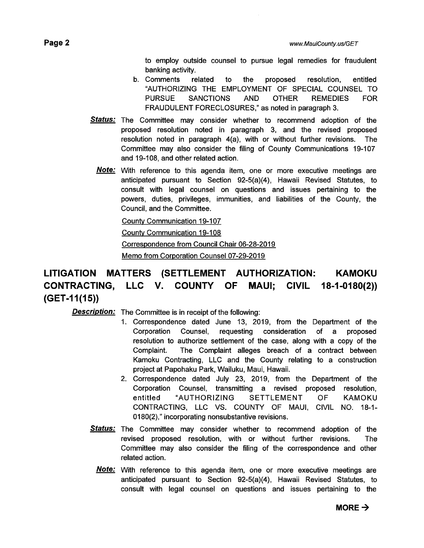to employ outside counsel to pursue legal remedies for fraudulent banking activity.

- b. Comments related to the proposed resolution, entitled "AUTHORIZING THE EMPLOYMENT OF SPECIAL COUNSEL TO PURSUE SANCTIONS AND OTHER REMEDIES FOR FRAUDULENT FORECLOSURES," as noted in paragraph 3.
- **Status:** The Committee may consider whether to recommend adoption of the proposed resolution noted in paragraph 3, and the revised proposed resolution noted in paragraph 4(a), with or without further revisions. The Committee may also consider the filing of County Communications 19-107 and 19-108, and other related action.
	- Note: With reference to this agenda item, one or more executive meetings are anticipated pursuant to Section 92-5(a)(4), Hawaii Revised Statutes, to consult with legal counsel on questions and issues pertaining to the powers, duties, privileges, immunities, and liabilities of the County, the Council, and the Committee.

**County Communication 19-107** 

County Communication 19-108

Correspondence from Council Chair 06-28-2019

Memo from Corporation Counsel 07-29-2019

### LITIGATION MATTERS (SETTLEMENT AUTHORIZATION: KAMOKU CONTRACTING, LLC V. COUNTY OF MAUI; CIVIL 18-1-0180(2)) (GET-I 1(15))

Description: The Committee is in receipt of the following:

- 1. Correspondence dated June 13, 2019, from the Department of the Corporation Counsel, requesting consideration of a proposed resolution to authorize settlement of the case, along with a copy of the Complaint. The Complaint alleges breach of a contract between Kamoku Contracting, LLC and the County relating to a construction project at Papohaku Park, Wailuku, Maui, Hawaii.
- 2. Correspondence dated July 23, 2019, from the Department of the Corporation Counsel, transmitting a revised proposed resolution, entitled "AUTHORIZING SETTLEMENT OF KAMOKU CONTRACTING, LLC VS. COUNTY OF MAUI, CIVIL NO. 18-1- 0180(2)," incorporating nonsubstantive revisions.
- **Status:** The Committee may consider whether to recommend adoption of the revised proposed resolution, with or without further revisions. The Committee may also consider the filing of the correspondence and other related action.
	- **Note:** With reference to this agenda item, one or more executive meetings are anticipated pursuant to Section 92-5(a)(4), Hawaii Revised Statutes, to consult with legal counsel on questions and issues pertaining to the